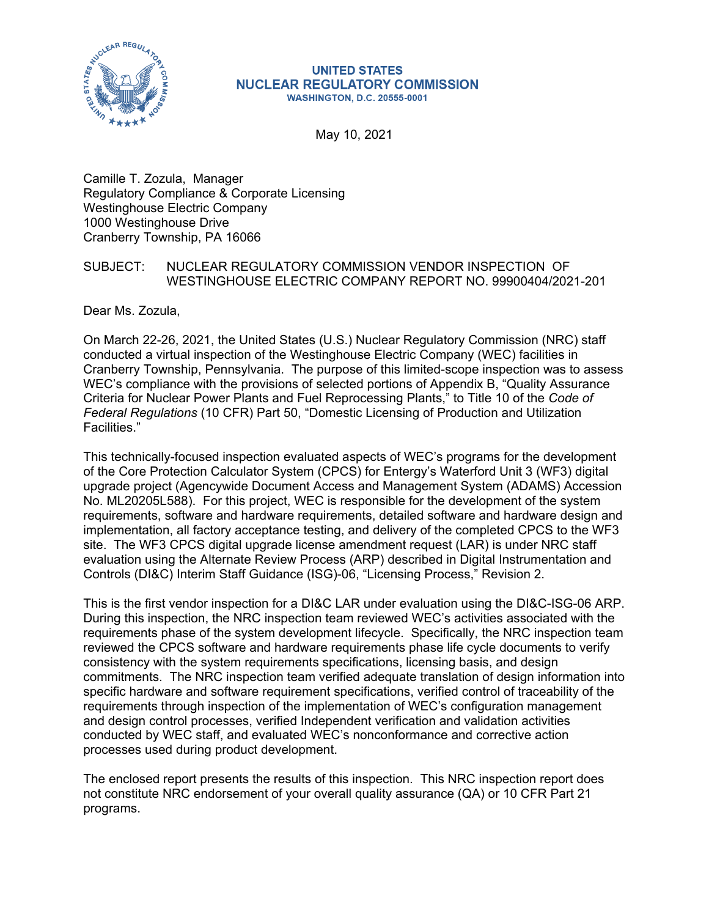

#### **UNITED STATES NUCLEAR REGULATORY COMMISSION WASHINGTON, D.C. 20555-0001**

May 10, 2021

Camille T. Zozula, Manager Regulatory Compliance & Corporate Licensing Westinghouse Electric Company 1000 Westinghouse Drive Cranberry Township, PA 16066

# SUBJECT: NUCLEAR REGULATORY COMMISSION VENDOR INSPECTION OF WESTINGHOUSE ELECTRIC COMPANY REPORT NO. 99900404/2021-201

Dear Ms. Zozula,

On March 22-26, 2021, the United States (U.S.) Nuclear Regulatory Commission (NRC) staff conducted a virtual inspection of the Westinghouse Electric Company (WEC) facilities in Cranberry Township, Pennsylvania. The purpose of this limited-scope inspection was to assess WEC's compliance with the provisions of selected portions of Appendix B, "Quality Assurance Criteria for Nuclear Power Plants and Fuel Reprocessing Plants," to Title 10 of the *Code of Federal Regulations* (10 CFR) Part 50, "Domestic Licensing of Production and Utilization Facilities."

This technically-focused inspection evaluated aspects of WEC's programs for the development of the Core Protection Calculator System (CPCS) for Entergy's Waterford Unit 3 (WF3) digital upgrade project (Agencywide Document Access and Management System (ADAMS) Accession No. ML20205L588). For this project, WEC is responsible for the development of the system requirements, software and hardware requirements, detailed software and hardware design and implementation, all factory acceptance testing, and delivery of the completed CPCS to the WF3 site. The WF3 CPCS digital upgrade license amendment request (LAR) is under NRC staff evaluation using the Alternate Review Process (ARP) described in Digital Instrumentation and Controls (DI&C) Interim Staff Guidance (ISG)-06, "Licensing Process," Revision 2.

This is the first vendor inspection for a DI&C LAR under evaluation using the DI&C-ISG-06 ARP. During this inspection, the NRC inspection team reviewed WEC's activities associated with the requirements phase of the system development lifecycle. Specifically, the NRC inspection team reviewed the CPCS software and hardware requirements phase life cycle documents to verify consistency with the system requirements specifications, licensing basis, and design commitments. The NRC inspection team verified adequate translation of design information into specific hardware and software requirement specifications, verified control of traceability of the requirements through inspection of the implementation of WEC's configuration management and design control processes, verified Independent verification and validation activities conducted by WEC staff, and evaluated WEC's nonconformance and corrective action processes used during product development.

The enclosed report presents the results of this inspection. This NRC inspection report does not constitute NRC endorsement of your overall quality assurance (QA) or 10 CFR Part 21 programs.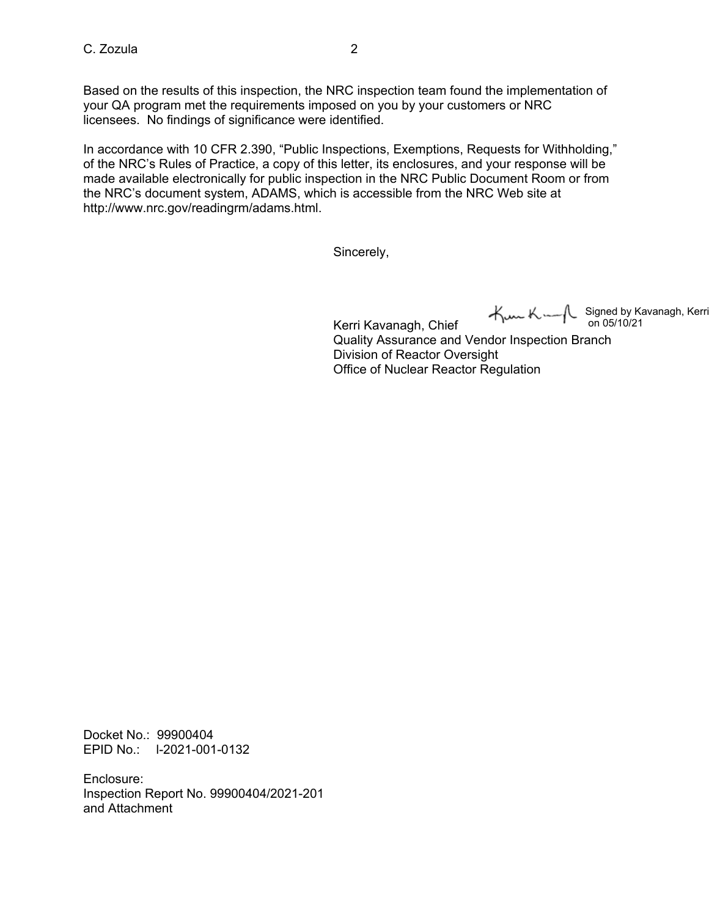Based on the results of this inspection, the NRC inspection team found the implementation of your QA program met the requirements imposed on you by your customers or NRC licensees. No findings of significance were identified.

In accordance with 10 CFR 2.390, "Public Inspections, Exemptions, Requests for Withholding," of the NRC's Rules of Practice, a copy of this letter, its enclosures, and your response will be made available electronically for public inspection in the NRC Public Document Room or from the NRC's document system, ADAMS, which is accessible from the NRC Web site at http://www.nrc.gov/readingrm/adams.html.

Sincerely,

Signed by Kavanagh, Kerri

Kerri Kavanagh, Chief Quality Assurance and Vendor Inspection Branch Division of Reactor Oversight Office of Nuclear Reactor Regulation on 05/10/21

Docket No.: 99900404 EPID No.: l-2021-001-0132

Enclosure: Inspection Report No. 99900404/2021-201 and Attachment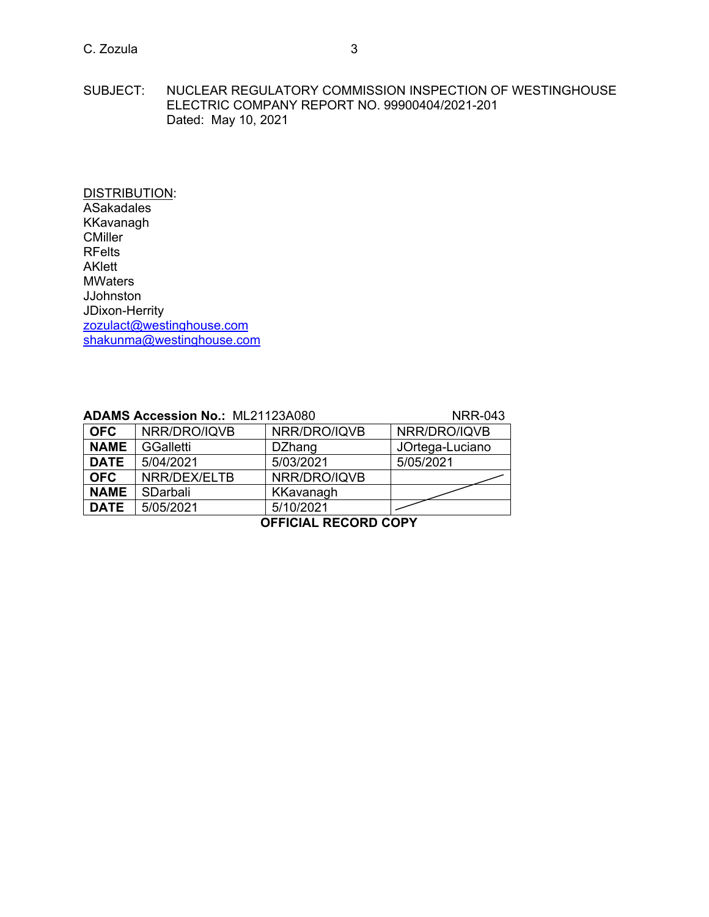SUBJECT: NUCLEAR REGULATORY COMMISSION INSPECTION OF WESTINGHOUSE ELECTRIC COMPANY REPORT NO. 99900404/2021-201 Dated: May 10, 2021

DISTRIBUTION: ASakadales KKavanagh **CMiller** RFelts AKlett **MWaters JJohnston** JDixon-Herrity [zozulact@westinghouse.com](mailto:zozulact@westinghouse.com) [shakunma@westinghouse.com](mailto:shakunma@westinghouse.com)

| <b>ADAMS Accession No.: ML21123A080</b> |                          |        |                                    |
|-----------------------------------------|--------------------------|--------|------------------------------------|
|                                         | $\overline{\phantom{a}}$ | $\Box$ | $\mathsf{I}$ NIDD/DDQ $\mathsf{I}$ |

**NAME** SDarbali KKavanagh

# **ADAMS ARR-043**<br>NER/DRO/IQVB **OFC** NRR/DRO/IQVB NRR/DRO/IQVB **NAME** GGalletti **DZhang** JOrtega-Luciano<br> **DATE** 5/04/2021 5/03/2021 5/05/2021 **DATE** | 5/04/2021 | 5/03/2021 **OFC** NRR/DEX/ELTB NRR/DRO/IQVB

**DATE** 5/05/2021 5/10/2021 **OFFICIAL RECORD COPY**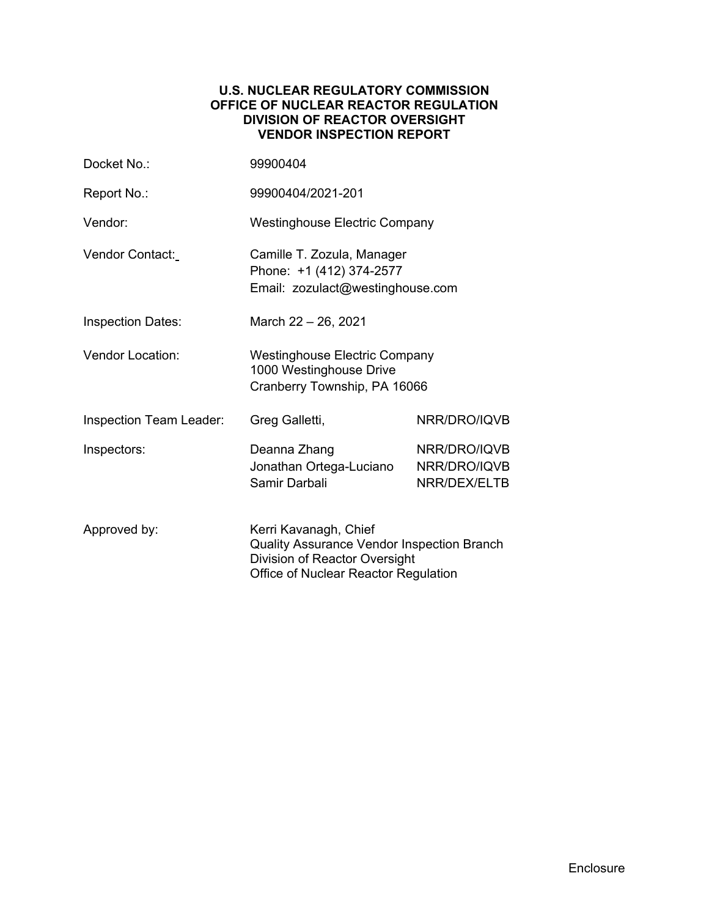### **U.S. NUCLEAR REGULATORY COMMISSION OFFICE OF NUCLEAR REACTOR REGULATION DIVISION OF REACTOR OVERSIGHT VENDOR INSPECTION REPORT**

| Docket No.:                                                                                                                                                         | 99900404                                                                                        |                                              |  |
|---------------------------------------------------------------------------------------------------------------------------------------------------------------------|-------------------------------------------------------------------------------------------------|----------------------------------------------|--|
| Report No.:                                                                                                                                                         | 99900404/2021-201                                                                               |                                              |  |
| Vendor:                                                                                                                                                             | <b>Westinghouse Electric Company</b>                                                            |                                              |  |
| Vendor Contact:                                                                                                                                                     | Camille T. Zozula, Manager<br>Phone: +1 (412) 374-2577<br>Email: zozulact@westinghouse.com      |                                              |  |
| <b>Inspection Dates:</b>                                                                                                                                            | March 22 - 26, 2021                                                                             |                                              |  |
| <b>Vendor Location:</b>                                                                                                                                             | <b>Westinghouse Electric Company</b><br>1000 Westinghouse Drive<br>Cranberry Township, PA 16066 |                                              |  |
| <b>Inspection Team Leader:</b>                                                                                                                                      | Greg Galletti,                                                                                  | NRR/DRO/IQVB                                 |  |
| Inspectors:                                                                                                                                                         | Deanna Zhang<br>Jonathan Ortega-Luciano<br>Samir Darbali                                        | NRR/DRO/IQVB<br>NRR/DRO/IQVB<br>NRR/DEX/ELTB |  |
| Kerri Kavanagh, Chief<br>Approved by:<br><b>Quality Assurance Vendor Inspection Branch</b><br>Division of Reactor Oversight<br>Office of Nuclear Reactor Regulation |                                                                                                 |                                              |  |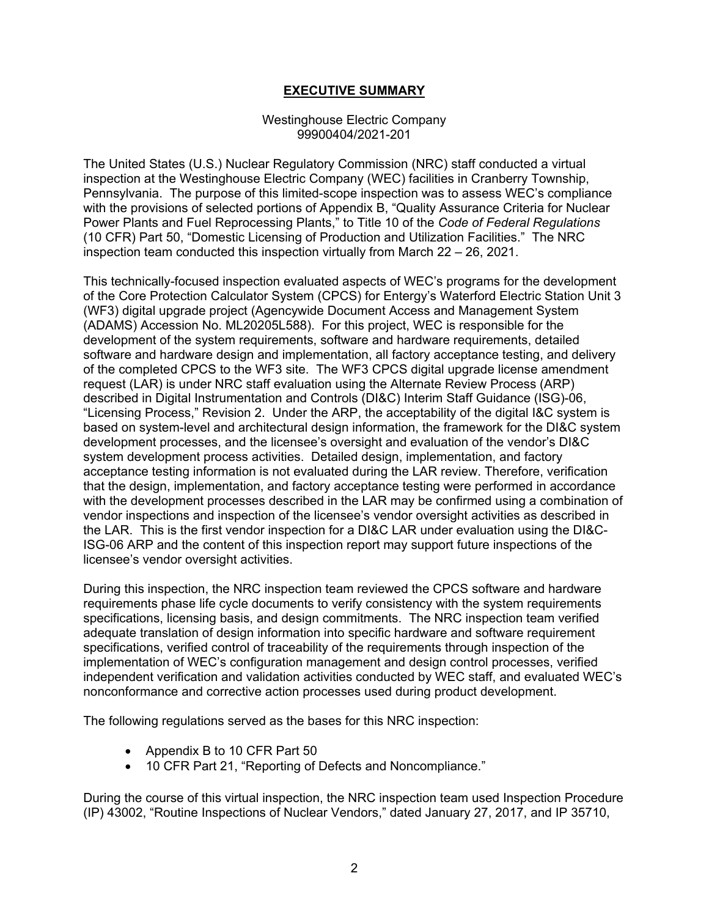# **EXECUTIVE SUMMARY**

#### Westinghouse Electric Company 99900404/2021-201

The United States (U.S.) Nuclear Regulatory Commission (NRC) staff conducted a virtual inspection at the Westinghouse Electric Company (WEC) facilities in Cranberry Township, Pennsylvania. The purpose of this limited-scope inspection was to assess WEC's compliance with the provisions of selected portions of Appendix B, "Quality Assurance Criteria for Nuclear Power Plants and Fuel Reprocessing Plants," to Title 10 of the *Code of Federal Regulations* (10 CFR) Part 50, "Domestic Licensing of Production and Utilization Facilities." The NRC inspection team conducted this inspection virtually from March 22 – 26, 2021.

This technically-focused inspection evaluated aspects of WEC's programs for the development of the Core Protection Calculator System (CPCS) for Entergy's Waterford Electric Station Unit 3 (WF3) digital upgrade project (Agencywide Document Access and Management System (ADAMS) Accession No. ML20205L588). For this project, WEC is responsible for the development of the system requirements, software and hardware requirements, detailed software and hardware design and implementation, all factory acceptance testing, and delivery of the completed CPCS to the WF3 site. The WF3 CPCS digital upgrade license amendment request (LAR) is under NRC staff evaluation using the Alternate Review Process (ARP) described in Digital Instrumentation and Controls (DI&C) Interim Staff Guidance (ISG)-06, "Licensing Process," Revision 2. Under the ARP, the acceptability of the digital I&C system is based on system-level and architectural design information, the framework for the DI&C system development processes, and the licensee's oversight and evaluation of the vendor's DI&C system development process activities. Detailed design, implementation, and factory acceptance testing information is not evaluated during the LAR review. Therefore, verification that the design, implementation, and factory acceptance testing were performed in accordance with the development processes described in the LAR may be confirmed using a combination of vendor inspections and inspection of the licensee's vendor oversight activities as described in the LAR. This is the first vendor inspection for a DI&C LAR under evaluation using the DI&C-ISG-06 ARP and the content of this inspection report may support future inspections of the licensee's vendor oversight activities.

During this inspection, the NRC inspection team reviewed the CPCS software and hardware requirements phase life cycle documents to verify consistency with the system requirements specifications, licensing basis, and design commitments. The NRC inspection team verified adequate translation of design information into specific hardware and software requirement specifications, verified control of traceability of the requirements through inspection of the implementation of WEC's configuration management and design control processes, verified independent verification and validation activities conducted by WEC staff, and evaluated WEC's nonconformance and corrective action processes used during product development.

The following regulations served as the bases for this NRC inspection:

- Appendix B to 10 CFR Part 50
- 10 CFR Part 21, "Reporting of Defects and Noncompliance."

During the course of this virtual inspection, the NRC inspection team used Inspection Procedure (IP) 43002, "Routine Inspections of Nuclear Vendors," dated January 27, 2017, and IP 35710,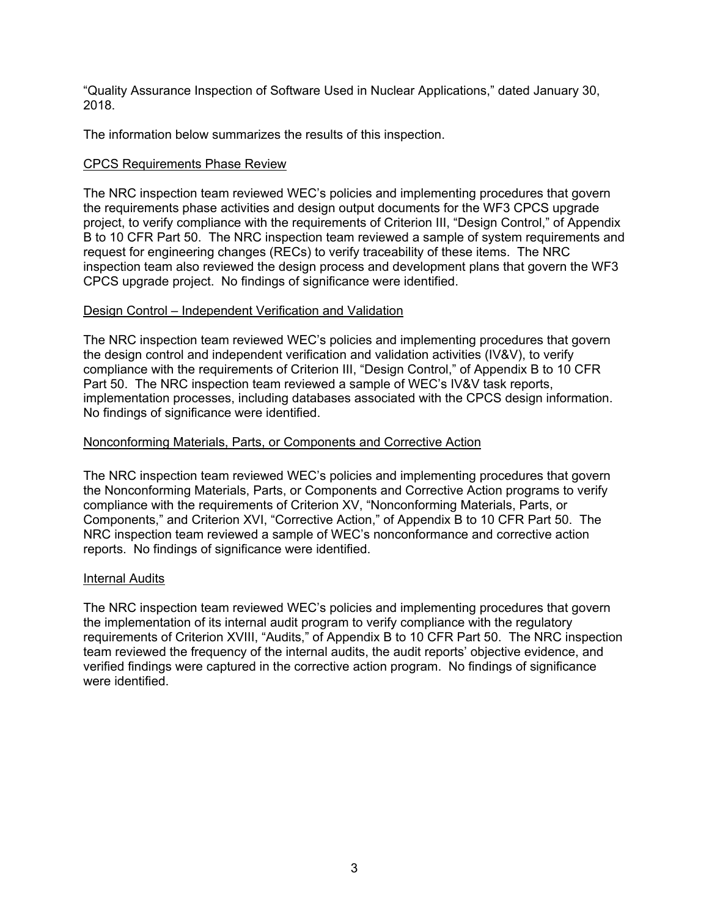"Quality Assurance Inspection of Software Used in Nuclear Applications," dated January 30, 2018.

The information below summarizes the results of this inspection.

### CPCS Requirements Phase Review

The NRC inspection team reviewed WEC's policies and implementing procedures that govern the requirements phase activities and design output documents for the WF3 CPCS upgrade project, to verify compliance with the requirements of Criterion III, "Design Control," of Appendix B to 10 CFR Part 50. The NRC inspection team reviewed a sample of system requirements and request for engineering changes (RECs) to verify traceability of these items. The NRC inspection team also reviewed the design process and development plans that govern the WF3 CPCS upgrade project. No findings of significance were identified.

#### Design Control – Independent Verification and Validation

The NRC inspection team reviewed WEC's policies and implementing procedures that govern the design control and independent verification and validation activities (IV&V), to verify compliance with the requirements of Criterion III, "Design Control," of Appendix B to 10 CFR Part 50. The NRC inspection team reviewed a sample of WEC's IV&V task reports, implementation processes, including databases associated with the CPCS design information. No findings of significance were identified.

#### Nonconforming Materials, Parts, or Components and Corrective Action

The NRC inspection team reviewed WEC's policies and implementing procedures that govern the Nonconforming Materials, Parts, or Components and Corrective Action programs to verify compliance with the requirements of Criterion XV, "Nonconforming Materials, Parts, or Components," and Criterion XVI, "Corrective Action," of Appendix B to 10 CFR Part 50. The NRC inspection team reviewed a sample of WEC's nonconformance and corrective action reports. No findings of significance were identified.

#### Internal Audits

The NRC inspection team reviewed WEC's policies and implementing procedures that govern the implementation of its internal audit program to verify compliance with the regulatory requirements of Criterion XVIII, "Audits," of Appendix B to 10 CFR Part 50. The NRC inspection team reviewed the frequency of the internal audits, the audit reports' objective evidence, and verified findings were captured in the corrective action program. No findings of significance were identified.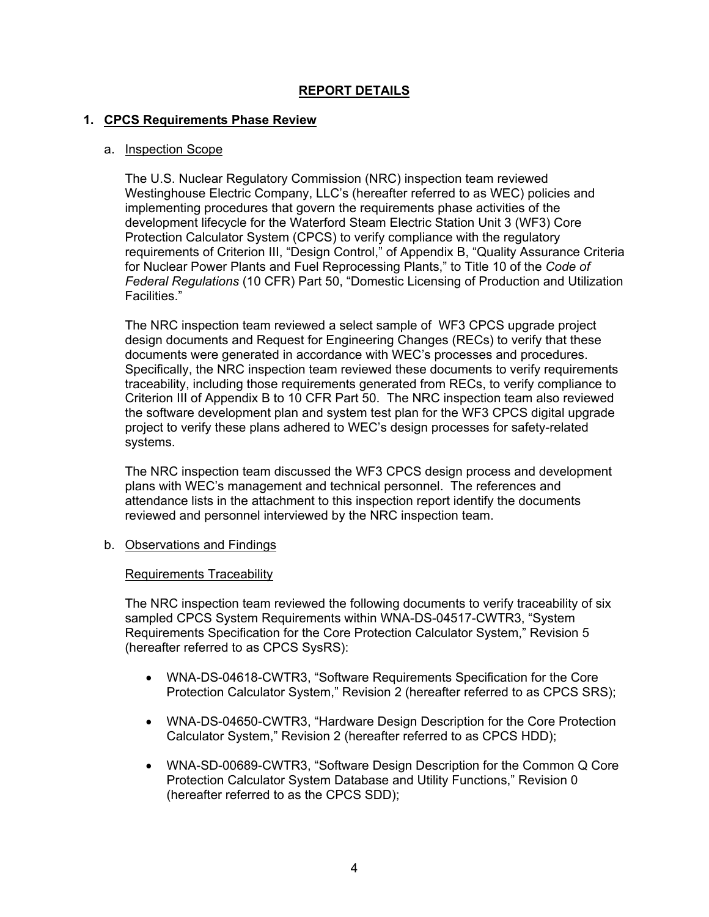# **REPORT DETAILS**

### **1. CPCS Requirements Phase Review**

#### a. Inspection Scope

The U.S. Nuclear Regulatory Commission (NRC) inspection team reviewed Westinghouse Electric Company, LLC's (hereafter referred to as WEC) policies and implementing procedures that govern the requirements phase activities of the development lifecycle for the Waterford Steam Electric Station Unit 3 (WF3) Core Protection Calculator System (CPCS) to verify compliance with the regulatory requirements of Criterion III, "Design Control," of Appendix B, "Quality Assurance Criteria for Nuclear Power Plants and Fuel Reprocessing Plants," to Title 10 of the *Code of Federal Regulations* (10 CFR) Part 50, "Domestic Licensing of Production and Utilization Facilities."

The NRC inspection team reviewed a select sample of WF3 CPCS upgrade project design documents and Request for Engineering Changes (RECs) to verify that these documents were generated in accordance with WEC's processes and procedures. Specifically, the NRC inspection team reviewed these documents to verify requirements traceability, including those requirements generated from RECs, to verify compliance to Criterion III of Appendix B to 10 CFR Part 50. The NRC inspection team also reviewed the software development plan and system test plan for the WF3 CPCS digital upgrade project to verify these plans adhered to WEC's design processes for safety-related systems.

The NRC inspection team discussed the WF3 CPCS design process and development plans with WEC's management and technical personnel. The references and attendance lists in the attachment to this inspection report identify the documents reviewed and personnel interviewed by the NRC inspection team.

b. Observations and Findings

#### Requirements Traceability

The NRC inspection team reviewed the following documents to verify traceability of six sampled CPCS System Requirements within WNA-DS-04517-CWTR3, "System Requirements Specification for the Core Protection Calculator System," Revision 5 (hereafter referred to as CPCS SysRS):

- WNA-DS-04618-CWTR3, "Software Requirements Specification for the Core Protection Calculator System," Revision 2 (hereafter referred to as CPCS SRS);
- WNA-DS-04650-CWTR3, "Hardware Design Description for the Core Protection Calculator System," Revision 2 (hereafter referred to as CPCS HDD);
- WNA-SD-00689-CWTR3, "Software Design Description for the Common Q Core Protection Calculator System Database and Utility Functions," Revision 0 (hereafter referred to as the CPCS SDD);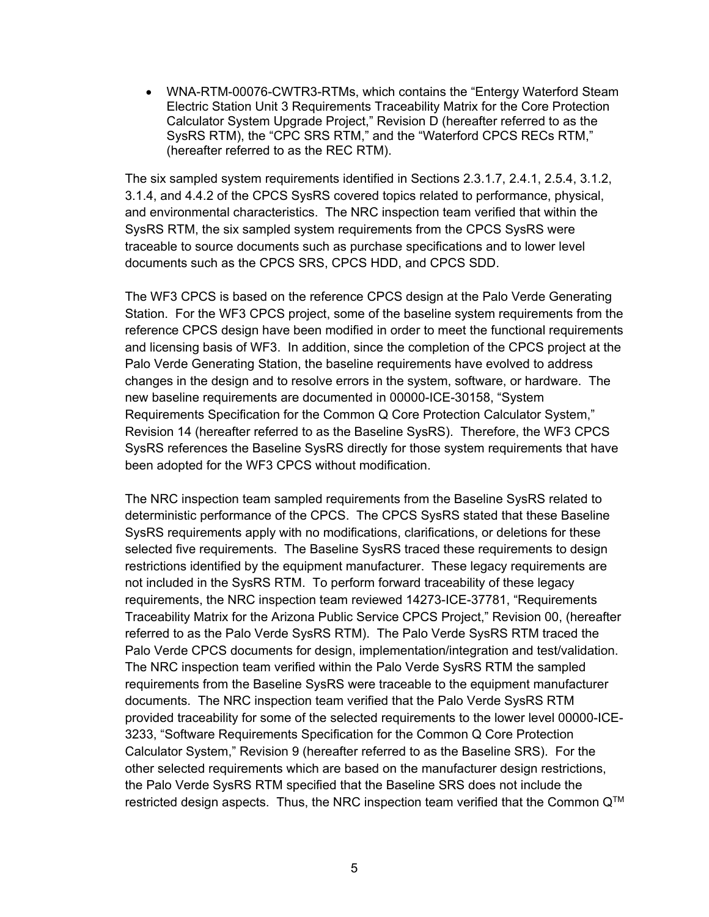• WNA-RTM-00076-CWTR3-RTMs, which contains the "Entergy Waterford Steam" Electric Station Unit 3 Requirements Traceability Matrix for the Core Protection Calculator System Upgrade Project," Revision D (hereafter referred to as the SysRS RTM), the "CPC SRS RTM," and the "Waterford CPCS RECs RTM," (hereafter referred to as the REC RTM).

The six sampled system requirements identified in Sections 2.3.1.7, 2.4.1, 2.5.4, 3.1.2, 3.1.4, and 4.4.2 of the CPCS SysRS covered topics related to performance, physical, and environmental characteristics. The NRC inspection team verified that within the SysRS RTM, the six sampled system requirements from the CPCS SysRS were traceable to source documents such as purchase specifications and to lower level documents such as the CPCS SRS, CPCS HDD, and CPCS SDD.

The WF3 CPCS is based on the reference CPCS design at the Palo Verde Generating Station. For the WF3 CPCS project, some of the baseline system requirements from the reference CPCS design have been modified in order to meet the functional requirements and licensing basis of WF3. In addition, since the completion of the CPCS project at the Palo Verde Generating Station, the baseline requirements have evolved to address changes in the design and to resolve errors in the system, software, or hardware. The new baseline requirements are documented in 00000-ICE-30158, "System Requirements Specification for the Common Q Core Protection Calculator System," Revision 14 (hereafter referred to as the Baseline SysRS). Therefore, the WF3 CPCS SysRS references the Baseline SysRS directly for those system requirements that have been adopted for the WF3 CPCS without modification.

The NRC inspection team sampled requirements from the Baseline SysRS related to deterministic performance of the CPCS. The CPCS SysRS stated that these Baseline SysRS requirements apply with no modifications, clarifications, or deletions for these selected five requirements. The Baseline SysRS traced these requirements to design restrictions identified by the equipment manufacturer. These legacy requirements are not included in the SysRS RTM. To perform forward traceability of these legacy requirements, the NRC inspection team reviewed 14273-ICE-37781, "Requirements Traceability Matrix for the Arizona Public Service CPCS Project," Revision 00, (hereafter referred to as the Palo Verde SysRS RTM). The Palo Verde SysRS RTM traced the Palo Verde CPCS documents for design, implementation/integration and test/validation. The NRC inspection team verified within the Palo Verde SysRS RTM the sampled requirements from the Baseline SysRS were traceable to the equipment manufacturer documents. The NRC inspection team verified that the Palo Verde SysRS RTM provided traceability for some of the selected requirements to the lower level 00000-ICE-3233, "Software Requirements Specification for the Common Q Core Protection Calculator System," Revision 9 (hereafter referred to as the Baseline SRS). For the other selected requirements which are based on the manufacturer design restrictions, the Palo Verde SysRS RTM specified that the Baseline SRS does not include the restricted design aspects. Thus, the NRC inspection team verified that the Common  $Q^{TM}$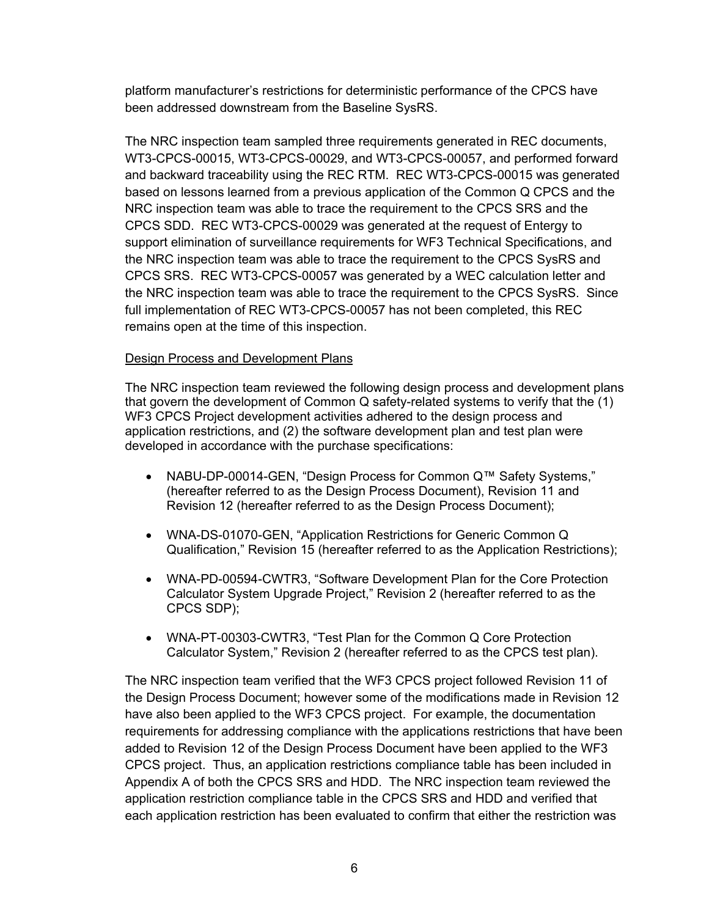platform manufacturer's restrictions for deterministic performance of the CPCS have been addressed downstream from the Baseline SysRS.

The NRC inspection team sampled three requirements generated in REC documents, WT3-CPCS-00015, WT3-CPCS-00029, and WT3-CPCS-00057, and performed forward and backward traceability using the REC RTM. REC WT3-CPCS-00015 was generated based on lessons learned from a previous application of the Common Q CPCS and the NRC inspection team was able to trace the requirement to the CPCS SRS and the CPCS SDD. REC WT3-CPCS-00029 was generated at the request of Entergy to support elimination of surveillance requirements for WF3 Technical Specifications, and the NRC inspection team was able to trace the requirement to the CPCS SysRS and CPCS SRS. REC WT3-CPCS-00057 was generated by a WEC calculation letter and the NRC inspection team was able to trace the requirement to the CPCS SysRS. Since full implementation of REC WT3-CPCS-00057 has not been completed, this REC remains open at the time of this inspection.

# Design Process and Development Plans

The NRC inspection team reviewed the following design process and development plans that govern the development of Common Q safety-related systems to verify that the (1) WF3 CPCS Project development activities adhered to the design process and application restrictions, and (2) the software development plan and test plan were developed in accordance with the purchase specifications:

- NABU-DP-00014-GEN, "Design Process for Common Q™ Safety Systems," (hereafter referred to as the Design Process Document), Revision 11 and Revision 12 (hereafter referred to as the Design Process Document);
- WNA-DS-01070-GEN, "Application Restrictions for Generic Common Q Qualification," Revision 15 (hereafter referred to as the Application Restrictions);
- WNA-PD-00594-CWTR3, "Software Development Plan for the Core Protection Calculator System Upgrade Project," Revision 2 (hereafter referred to as the CPCS SDP);
- WNA-PT-00303-CWTR3, "Test Plan for the Common Q Core Protection Calculator System," Revision 2 (hereafter referred to as the CPCS test plan).

The NRC inspection team verified that the WF3 CPCS project followed Revision 11 of the Design Process Document; however some of the modifications made in Revision 12 have also been applied to the WF3 CPCS project. For example, the documentation requirements for addressing compliance with the applications restrictions that have been added to Revision 12 of the Design Process Document have been applied to the WF3 CPCS project. Thus, an application restrictions compliance table has been included in Appendix A of both the CPCS SRS and HDD. The NRC inspection team reviewed the application restriction compliance table in the CPCS SRS and HDD and verified that each application restriction has been evaluated to confirm that either the restriction was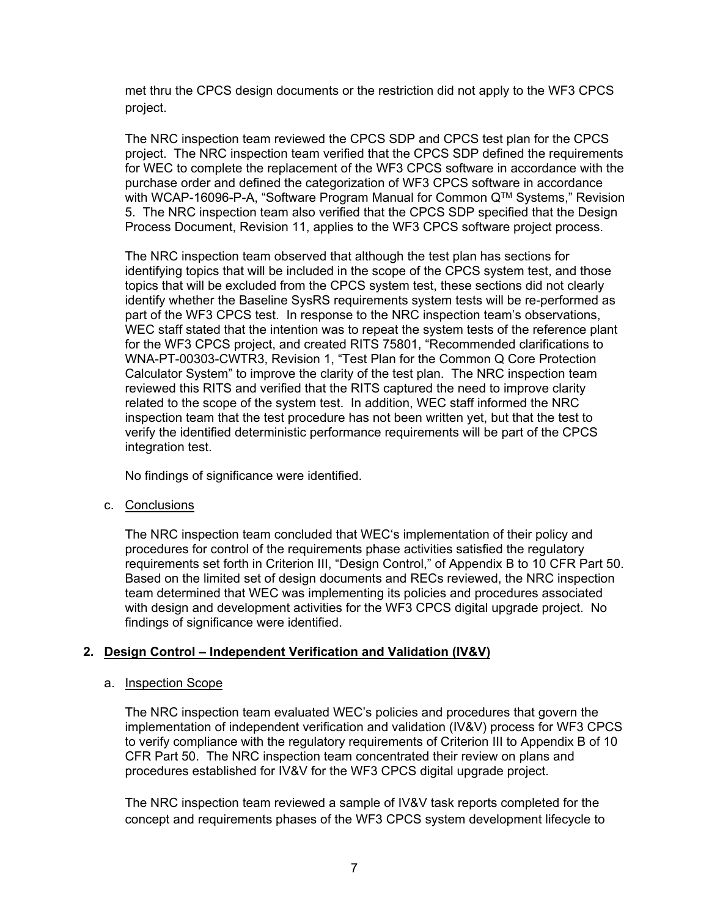met thru the CPCS design documents or the restriction did not apply to the WF3 CPCS project.

The NRC inspection team reviewed the CPCS SDP and CPCS test plan for the CPCS project. The NRC inspection team verified that the CPCS SDP defined the requirements for WEC to complete the replacement of the WF3 CPCS software in accordance with the purchase order and defined the categorization of WF3 CPCS software in accordance with WCAP-16096-P-A, "Software Program Manual for Common Q™ Systems," Revision 5. The NRC inspection team also verified that the CPCS SDP specified that the Design Process Document, Revision 11, applies to the WF3 CPCS software project process.

The NRC inspection team observed that although the test plan has sections for identifying topics that will be included in the scope of the CPCS system test, and those topics that will be excluded from the CPCS system test, these sections did not clearly identify whether the Baseline SysRS requirements system tests will be re-performed as part of the WF3 CPCS test. In response to the NRC inspection team's observations, WEC staff stated that the intention was to repeat the system tests of the reference plant for the WF3 CPCS project, and created RITS 75801, "Recommended clarifications to WNA-PT-00303-CWTR3, Revision 1, "Test Plan for the Common Q Core Protection Calculator System" to improve the clarity of the test plan. The NRC inspection team reviewed this RITS and verified that the RITS captured the need to improve clarity related to the scope of the system test. In addition, WEC staff informed the NRC inspection team that the test procedure has not been written yet, but that the test to verify the identified deterministic performance requirements will be part of the CPCS integration test.

No findings of significance were identified.

c. Conclusions

The NRC inspection team concluded that WEC's implementation of their policy and procedures for control of the requirements phase activities satisfied the regulatory requirements set forth in Criterion III, "Design Control," of Appendix B to 10 CFR Part 50. Based on the limited set of design documents and RECs reviewed, the NRC inspection team determined that WEC was implementing its policies and procedures associated with design and development activities for the WF3 CPCS digital upgrade project. No findings of significance were identified.

# **2. Design Control – Independent Verification and Validation (IV&V)**

# a. Inspection Scope

The NRC inspection team evaluated WEC's policies and procedures that govern the implementation of independent verification and validation (IV&V) process for WF3 CPCS to verify compliance with the regulatory requirements of Criterion III to Appendix B of 10 CFR Part 50. The NRC inspection team concentrated their review on plans and procedures established for IV&V for the WF3 CPCS digital upgrade project.

The NRC inspection team reviewed a sample of IV&V task reports completed for the concept and requirements phases of the WF3 CPCS system development lifecycle to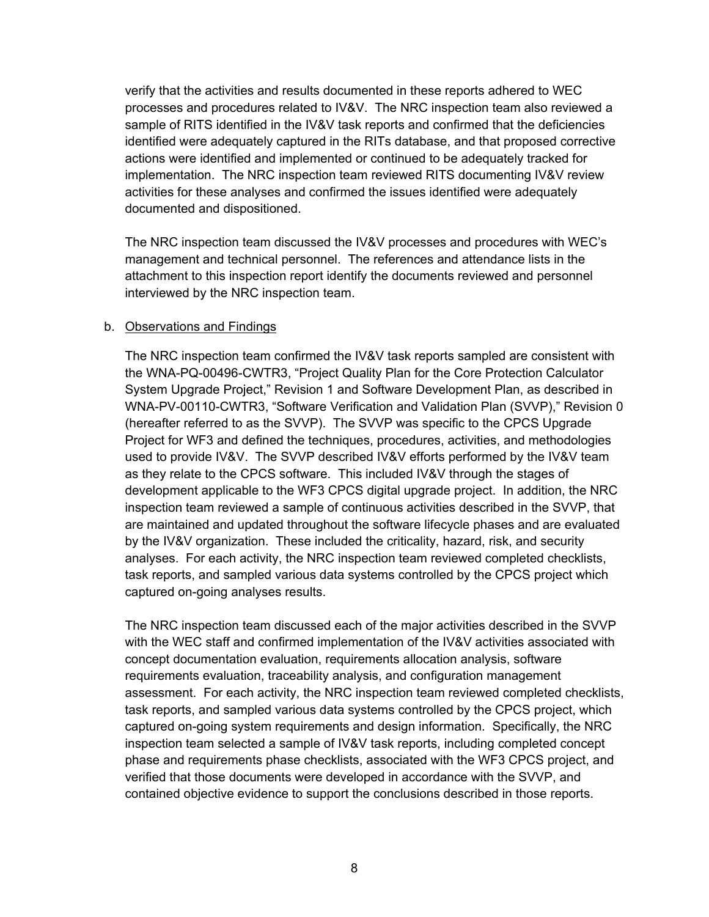verify that the activities and results documented in these reports adhered to WEC processes and procedures related to IV&V. The NRC inspection team also reviewed a sample of RITS identified in the IV&V task reports and confirmed that the deficiencies identified were adequately captured in the RITs database, and that proposed corrective actions were identified and implemented or continued to be adequately tracked for implementation. The NRC inspection team reviewed RITS documenting IV&V review activities for these analyses and confirmed the issues identified were adequately documented and dispositioned.

The NRC inspection team discussed the IV&V processes and procedures with WEC's management and technical personnel. The references and attendance lists in the attachment to this inspection report identify the documents reviewed and personnel interviewed by the NRC inspection team.

#### b. Observations and Findings

The NRC inspection team confirmed the IV&V task reports sampled are consistent with the WNA-PQ-00496-CWTR3, "Project Quality Plan for the Core Protection Calculator System Upgrade Project," Revision 1 and Software Development Plan, as described in WNA-PV-00110-CWTR3, "Software Verification and Validation Plan (SVVP)," Revision 0 (hereafter referred to as the SVVP). The SVVP was specific to the CPCS Upgrade Project for WF3 and defined the techniques, procedures, activities, and methodologies used to provide IV&V. The SVVP described IV&V efforts performed by the IV&V team as they relate to the CPCS software. This included IV&V through the stages of development applicable to the WF3 CPCS digital upgrade project. In addition, the NRC inspection team reviewed a sample of continuous activities described in the SVVP, that are maintained and updated throughout the software lifecycle phases and are evaluated by the IV&V organization. These included the criticality, hazard, risk, and security analyses. For each activity, the NRC inspection team reviewed completed checklists, task reports, and sampled various data systems controlled by the CPCS project which captured on-going analyses results.

The NRC inspection team discussed each of the major activities described in the SVVP with the WEC staff and confirmed implementation of the IV&V activities associated with concept documentation evaluation, requirements allocation analysis, software requirements evaluation, traceability analysis, and configuration management assessment. For each activity, the NRC inspection team reviewed completed checklists, task reports, and sampled various data systems controlled by the CPCS project, which captured on-going system requirements and design information. Specifically, the NRC inspection team selected a sample of IV&V task reports, including completed concept phase and requirements phase checklists, associated with the WF3 CPCS project, and verified that those documents were developed in accordance with the SVVP, and contained objective evidence to support the conclusions described in those reports.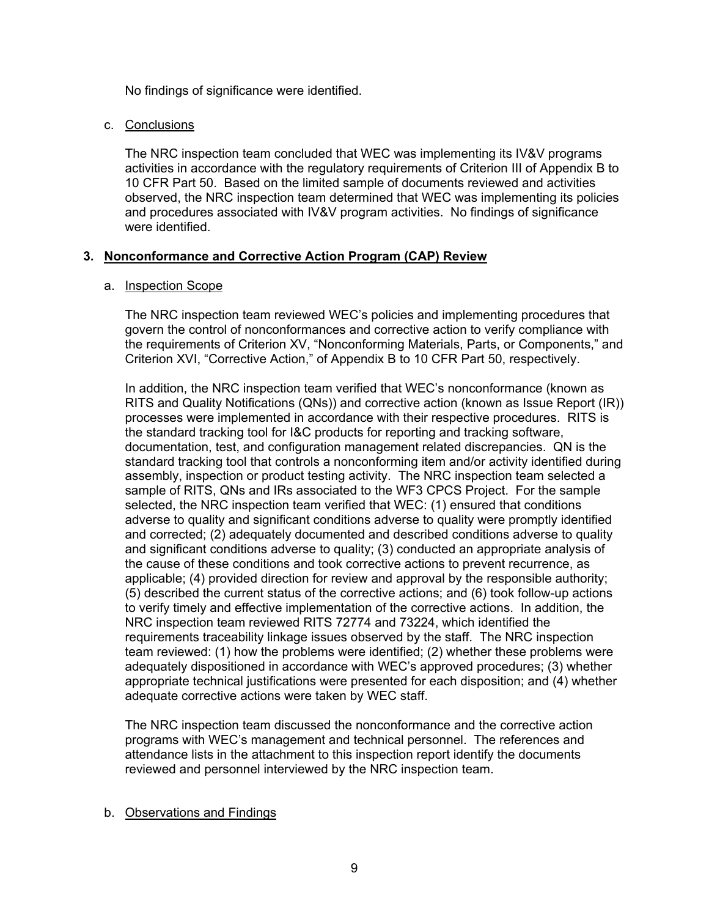No findings of significance were identified.

### c. Conclusions

The NRC inspection team concluded that WEC was implementing its IV&V programs activities in accordance with the regulatory requirements of Criterion III of Appendix B to 10 CFR Part 50. Based on the limited sample of documents reviewed and activities observed, the NRC inspection team determined that WEC was implementing its policies and procedures associated with IV&V program activities. No findings of significance were identified.

# **3. Nonconformance and Corrective Action Program (CAP) Review**

#### a. Inspection Scope

The NRC inspection team reviewed WEC's policies and implementing procedures that govern the control of nonconformances and corrective action to verify compliance with the requirements of Criterion XV, "Nonconforming Materials, Parts, or Components," and Criterion XVI, "Corrective Action," of Appendix B to 10 CFR Part 50, respectively.

In addition, the NRC inspection team verified that WEC's nonconformance (known as RITS and Quality Notifications (QNs)) and corrective action (known as Issue Report (IR)) processes were implemented in accordance with their respective procedures. RITS is the standard tracking tool for I&C products for reporting and tracking software, documentation, test, and configuration management related discrepancies. QN is the standard tracking tool that controls a nonconforming item and/or activity identified during assembly, inspection or product testing activity. The NRC inspection team selected a sample of RITS, QNs and IRs associated to the WF3 CPCS Project. For the sample selected, the NRC inspection team verified that WEC: (1) ensured that conditions adverse to quality and significant conditions adverse to quality were promptly identified and corrected; (2) adequately documented and described conditions adverse to quality and significant conditions adverse to quality; (3) conducted an appropriate analysis of the cause of these conditions and took corrective actions to prevent recurrence, as applicable; (4) provided direction for review and approval by the responsible authority; (5) described the current status of the corrective actions; and (6) took follow-up actions to verify timely and effective implementation of the corrective actions. In addition, the NRC inspection team reviewed RITS 72774 and 73224, which identified the requirements traceability linkage issues observed by the staff. The NRC inspection team reviewed: (1) how the problems were identified; (2) whether these problems were adequately dispositioned in accordance with WEC's approved procedures; (3) whether appropriate technical justifications were presented for each disposition; and (4) whether adequate corrective actions were taken by WEC staff.

The NRC inspection team discussed the nonconformance and the corrective action programs with WEC's management and technical personnel. The references and attendance lists in the attachment to this inspection report identify the documents reviewed and personnel interviewed by the NRC inspection team.

# b. Observations and Findings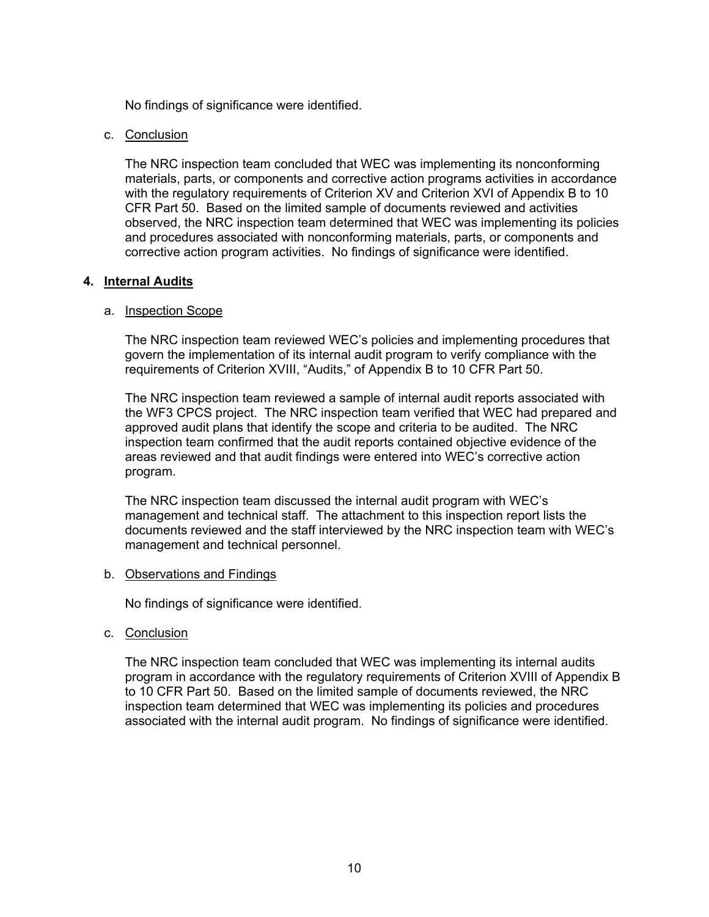No findings of significance were identified.

#### c. Conclusion

The NRC inspection team concluded that WEC was implementing its nonconforming materials, parts, or components and corrective action programs activities in accordance with the regulatory requirements of Criterion XV and Criterion XVI of Appendix B to 10 CFR Part 50. Based on the limited sample of documents reviewed and activities observed, the NRC inspection team determined that WEC was implementing its policies and procedures associated with nonconforming materials, parts, or components and corrective action program activities. No findings of significance were identified.

#### **4. Internal Audits**

#### a. Inspection Scope

The NRC inspection team reviewed WEC's policies and implementing procedures that govern the implementation of its internal audit program to verify compliance with the requirements of Criterion XVIII, "Audits," of Appendix B to 10 CFR Part 50.

The NRC inspection team reviewed a sample of internal audit reports associated with the WF3 CPCS project. The NRC inspection team verified that WEC had prepared and approved audit plans that identify the scope and criteria to be audited. The NRC inspection team confirmed that the audit reports contained objective evidence of the areas reviewed and that audit findings were entered into WEC's corrective action program.

The NRC inspection team discussed the internal audit program with WEC's management and technical staff. The attachment to this inspection report lists the documents reviewed and the staff interviewed by the NRC inspection team with WEC's management and technical personnel.

#### b. Observations and Findings

No findings of significance were identified.

c. Conclusion

The NRC inspection team concluded that WEC was implementing its internal audits program in accordance with the regulatory requirements of Criterion XVIII of Appendix B to 10 CFR Part 50. Based on the limited sample of documents reviewed, the NRC inspection team determined that WEC was implementing its policies and procedures associated with the internal audit program. No findings of significance were identified.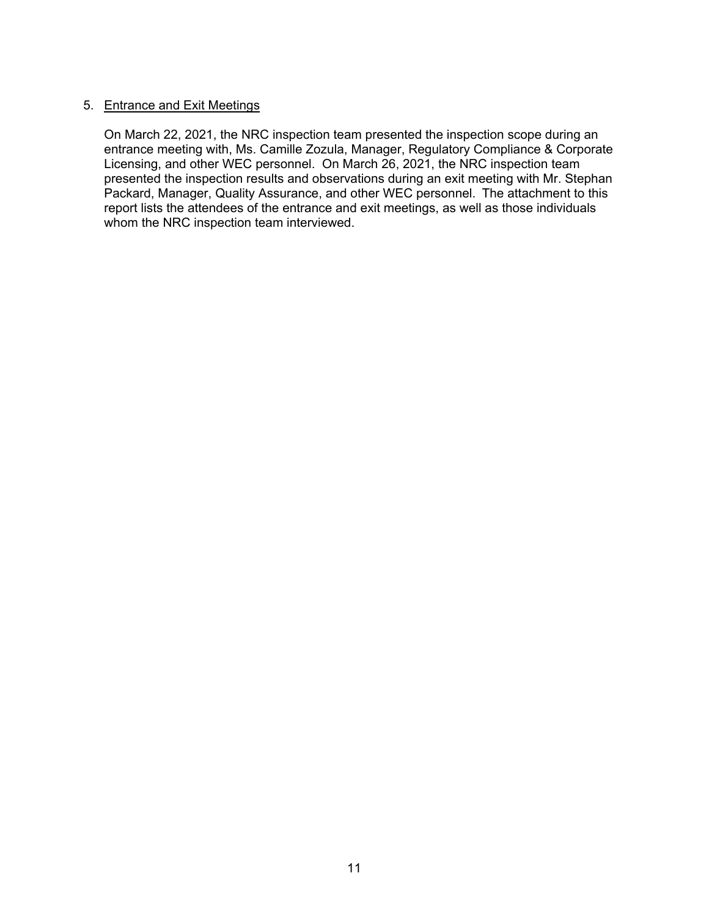### 5. Entrance and Exit Meetings

On March 22, 2021, the NRC inspection team presented the inspection scope during an entrance meeting with, Ms. Camille Zozula, Manager, Regulatory Compliance & Corporate Licensing, and other WEC personnel. On March 26, 2021, the NRC inspection team presented the inspection results and observations during an exit meeting with Mr. Stephan Packard, Manager, Quality Assurance, and other WEC personnel. The attachment to this report lists the attendees of the entrance and exit meetings, as well as those individuals whom the NRC inspection team interviewed.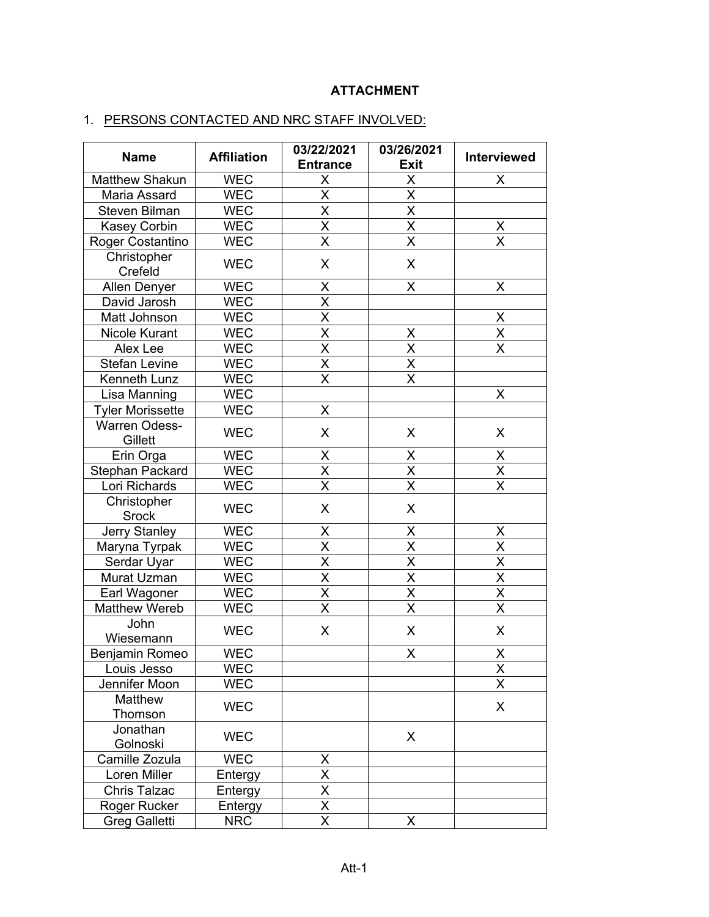# **ATTACHMENT**

# 1. PERSONS CONTACTED AND NRC STAFF INVOLVED:

| <b>Name</b>                 | <b>Affiliation</b> | 03/22/2021<br><b>Entrance</b> | 03/26/2021<br><b>Exit</b> | <b>Interviewed</b>              |
|-----------------------------|--------------------|-------------------------------|---------------------------|---------------------------------|
| <b>Matthew Shakun</b>       | <b>WEC</b>         | X                             | X                         | X                               |
| Maria Assard                | <b>WEC</b>         | $\overline{\mathsf{x}}$       | $\overline{\mathsf{x}}$   |                                 |
| <b>Steven Bilman</b>        | <b>WEC</b>         | X                             | X                         |                                 |
| <b>Kasey Corbin</b>         | <b>WEC</b>         | X                             | $\overline{\mathsf{x}}$   |                                 |
| Roger Costantino            | <b>WEC</b>         | $\overline{\mathsf{x}}$       | $\overline{\mathsf{x}}$   | $\frac{\mathsf{X}}{\mathsf{X}}$ |
| Christopher<br>Crefeld      | <b>WEC</b>         | X                             | X                         |                                 |
| Allen Denyer                | <b>WEC</b>         | X                             | X                         | X                               |
| David Jarosh                | <b>WEC</b>         | $\overline{\mathsf{x}}$       |                           |                                 |
| Matt Johnson                | <b>WEC</b>         | $\overline{\mathsf{X}}$       |                           | X                               |
| <b>Nicole Kurant</b>        | <b>WEC</b>         | $\overline{\mathsf{x}}$       | X                         | $\overline{\mathsf{x}}$         |
| Alex Lee                    | <b>WEC</b>         | $\overline{\mathsf{x}}$       | $\overline{\mathsf{x}}$   | $\overline{\mathsf{x}}$         |
| <b>Stefan Levine</b>        | <b>WEC</b>         | $\overline{\mathsf{x}}$       | $\overline{\mathsf{x}}$   |                                 |
| Kenneth Lunz                | <b>WEC</b>         | X                             | X                         |                                 |
| Lisa Manning                | <b>WEC</b>         |                               |                           | X                               |
| <b>Tyler Morissette</b>     | <b>WEC</b>         | X                             |                           |                                 |
| Warren Odess-<br>Gillett    | <b>WEC</b>         | X                             | X                         | X                               |
| Erin Orga                   | <b>WEC</b>         | X                             | X                         | X                               |
| Stephan Packard             | <b>WEC</b>         | $\overline{\mathsf{x}}$       | $\overline{\mathsf{x}}$   | $\overline{\mathsf{x}}$         |
| Lori Richards               | <b>WEC</b>         | $\overline{\mathsf{x}}$       | $\overline{\mathsf{X}}$   | X                               |
| Christopher<br><b>Srock</b> | <b>WEC</b>         | X                             | X                         |                                 |
| Jerry Stanley               | <b>WEC</b>         | X                             | X                         | Χ                               |
| Maryna Tyrpak               | <b>WEC</b>         | X                             | X                         | X                               |
| Serdar Uyar                 | <b>WEC</b>         | $\overline{\mathsf{x}}$       | $\overline{\mathsf{x}}$   | X                               |
| Murat Uzman                 | <b>WEC</b>         | $\overline{\mathsf{x}}$       | $\overline{\mathsf{x}}$   | $\overline{\sf x}$              |
| Earl Wagoner                | <b>WEC</b>         | $\overline{\mathsf{X}}$       | $\overline{\mathsf{x}}$   | X                               |
| <b>Matthew Wereb</b>        | <b>WEC</b>         | X                             | $\overline{\mathsf{x}}$   | X                               |
| John<br>Wiesemann           | <b>WEC</b>         | X                             | X                         | X                               |
| <b>Benjamin Romeo</b>       | <b>WEC</b>         |                               | X                         | X                               |
| Louis Jesso                 | <b>WEC</b>         |                               |                           | Χ                               |
| Jennifer Moon               | <b>WEC</b>         |                               |                           | X                               |
| Matthew<br>Thomson          | <b>WEC</b>         |                               |                           | X                               |
| Jonathan<br>Golnoski        | <b>WEC</b>         |                               | X                         |                                 |
| Camille Zozula              | <b>WEC</b>         | X                             |                           |                                 |
| Loren Miller                | Entergy            | X                             |                           |                                 |
| <b>Chris Talzac</b>         | Entergy            | X                             |                           |                                 |
| Roger Rucker                | Entergy            | $\overline{\mathsf{x}}$       |                           |                                 |
| <b>Greg Galletti</b>        | <b>NRC</b>         | $\times$                      | X                         |                                 |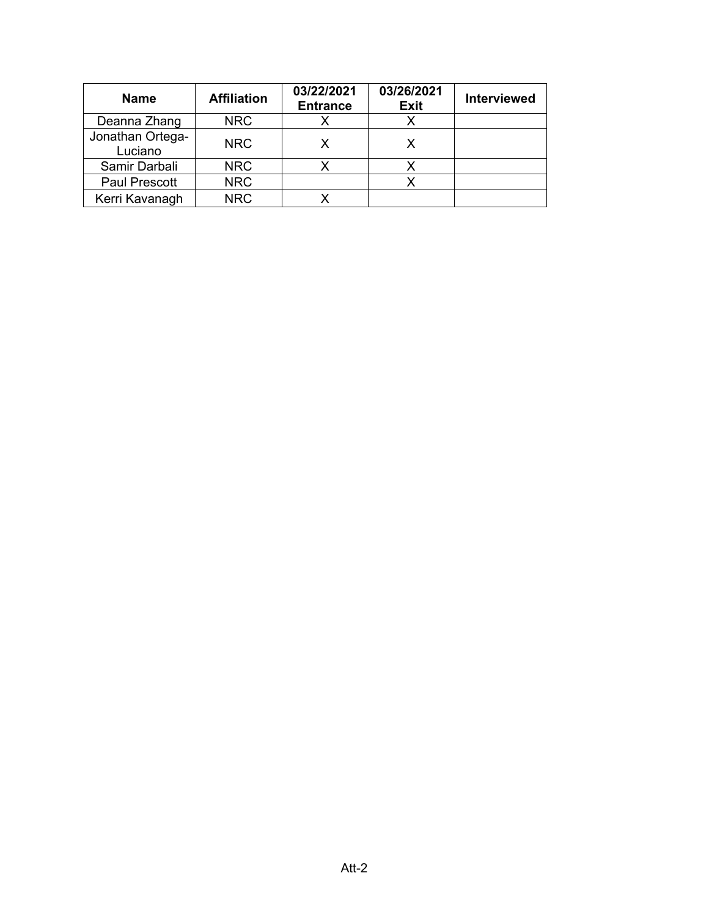| <b>Name</b>                 | <b>Affiliation</b> | 03/22/2021<br><b>Entrance</b> | 03/26/2021<br><b>Exit</b> | <b>Interviewed</b> |
|-----------------------------|--------------------|-------------------------------|---------------------------|--------------------|
| Deanna Zhang                | <b>NRC</b>         |                               |                           |                    |
| Jonathan Ortega-<br>Luciano | <b>NRC</b>         |                               | x                         |                    |
| Samir Darbali               | <b>NRC</b>         |                               |                           |                    |
| <b>Paul Prescott</b>        | <b>NRC</b>         |                               |                           |                    |
| Kerri Kavanagh              | <b>NRC</b>         |                               |                           |                    |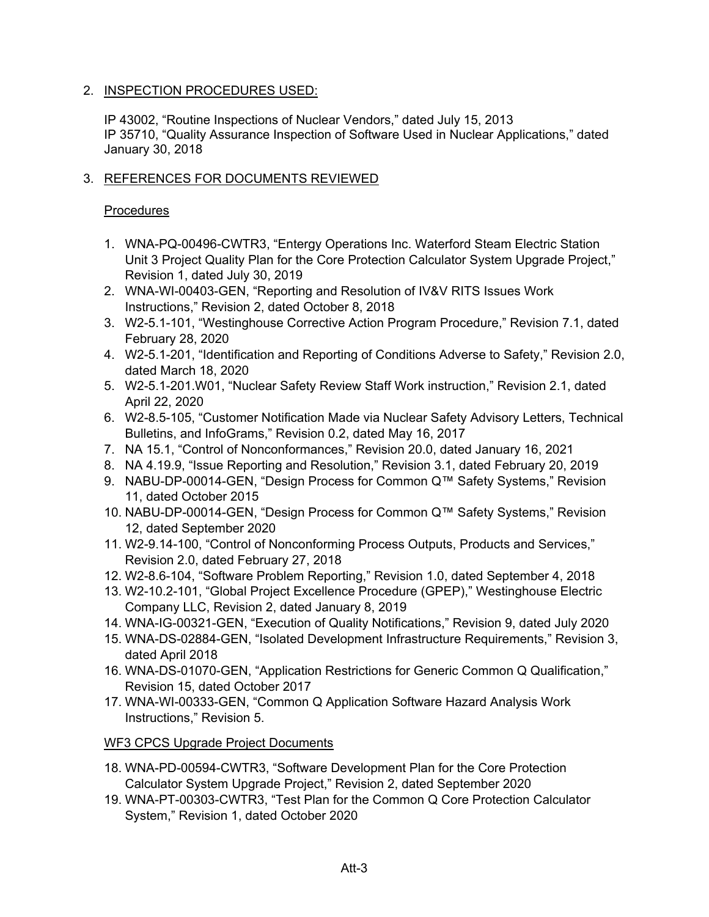# 2. INSPECTION PROCEDURES USED:

IP 43002, "Routine Inspections of Nuclear Vendors," dated July 15, 2013 IP 35710, "Quality Assurance Inspection of Software Used in Nuclear Applications," dated January 30, 2018

# 3. REFERENCES FOR DOCUMENTS REVIEWED

# **Procedures**

- 1. WNA-PQ-00496-CWTR3, "Entergy Operations Inc. Waterford Steam Electric Station Unit 3 Project Quality Plan for the Core Protection Calculator System Upgrade Project," Revision 1, dated July 30, 2019
- 2. WNA-WI-00403-GEN, "Reporting and Resolution of IV&V RITS Issues Work Instructions," Revision 2, dated October 8, 2018
- 3. W2-5.1-101, "Westinghouse Corrective Action Program Procedure," Revision 7.1, dated February 28, 2020
- 4. W2-5.1-201, "Identification and Reporting of Conditions Adverse to Safety," Revision 2.0, dated March 18, 2020
- 5. W2-5.1-201.W01, "Nuclear Safety Review Staff Work instruction," Revision 2.1, dated April 22, 2020
- 6. W2-8.5-105, "Customer Notification Made via Nuclear Safety Advisory Letters, Technical Bulletins, and InfoGrams," Revision 0.2, dated May 16, 2017
- 7. NA 15.1, "Control of Nonconformances," Revision 20.0, dated January 16, 2021
- 8. NA 4.19.9, "Issue Reporting and Resolution," Revision 3.1, dated February 20, 2019
- 9. NABU-DP-00014-GEN, "Design Process for Common Q™ Safety Systems," Revision 11, dated October 2015
- 10. NABU-DP-00014-GEN, "Design Process for Common Q™ Safety Systems," Revision 12, dated September 2020
- 11. W2-9.14-100, "Control of Nonconforming Process Outputs, Products and Services," Revision 2.0, dated February 27, 2018
- 12. W2-8.6-104, "Software Problem Reporting," Revision 1.0, dated September 4, 2018
- 13. W2-10.2-101, "Global Project Excellence Procedure (GPEP)," Westinghouse Electric Company LLC, Revision 2, dated January 8, 2019
- 14. WNA-IG-00321-GEN, "Execution of Quality Notifications," Revision 9, dated July 2020
- 15. WNA-DS-02884-GEN, "Isolated Development Infrastructure Requirements," Revision 3, dated April 2018
- 16. WNA-DS-01070-GEN, "Application Restrictions for Generic Common Q Qualification," Revision 15, dated October 2017
- 17. WNA-WI-00333-GEN, "Common Q Application Software Hazard Analysis Work Instructions," Revision 5.

WF3 CPCS Upgrade Project Documents

- 18. WNA-PD-00594-CWTR3, "Software Development Plan for the Core Protection Calculator System Upgrade Project," Revision 2, dated September 2020
- 19. WNA-PT-00303-CWTR3, "Test Plan for the Common Q Core Protection Calculator System," Revision 1, dated October 2020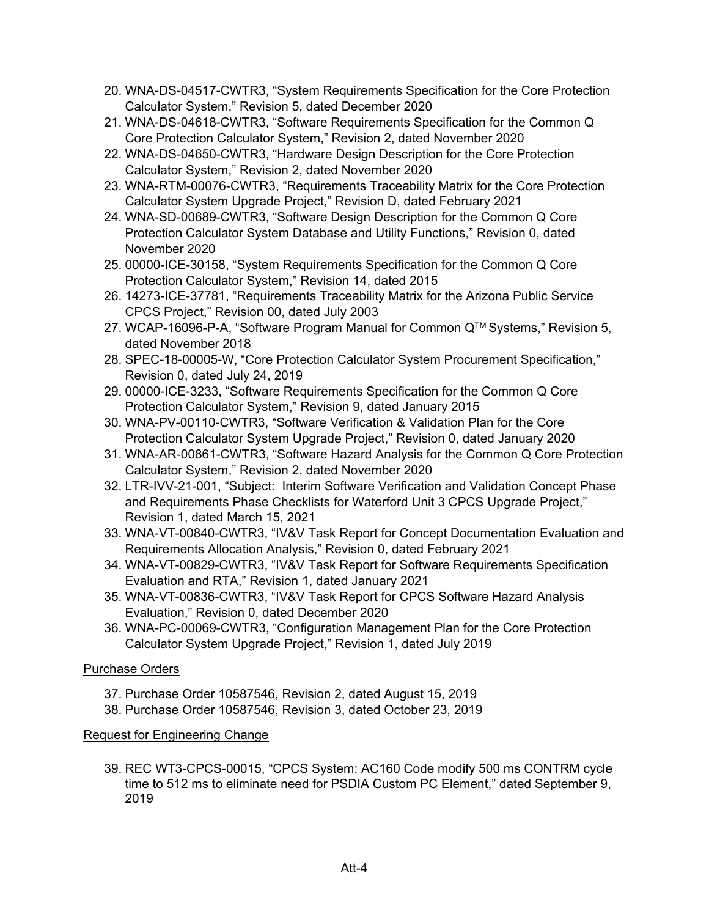- 20. WNA-DS-04517-CWTR3, "System Requirements Specification for the Core Protection Calculator System," Revision 5, dated December 2020
- 21. WNA-DS-04618-CWTR3, "Software Requirements Specification for the Common Q Core Protection Calculator System," Revision 2, dated November 2020
- 22. WNA-DS-04650-CWTR3, "Hardware Design Description for the Core Protection Calculator System," Revision 2, dated November 2020
- 23. WNA-RTM-00076-CWTR3, "Requirements Traceability Matrix for the Core Protection Calculator System Upgrade Project," Revision D, dated February 2021
- 24. WNA-SD-00689-CWTR3, "Software Design Description for the Common Q Core Protection Calculator System Database and Utility Functions," Revision 0, dated November 2020
- 25. 00000-ICE-30158, "System Requirements Specification for the Common Q Core Protection Calculator System," Revision 14, dated 2015
- 26. 14273-ICE-37781, "Requirements Traceability Matrix for the Arizona Public Service CPCS Project," Revision 00, dated July 2003
- 27. WCAP-16096-P-A, "Software Program Manual for Common Q™ Systems," Revision 5, dated November 2018
- 28. SPEC-18-00005-W, "Core Protection Calculator System Procurement Specification," Revision 0, dated July 24, 2019
- 29. 00000-ICE-3233, "Software Requirements Specification for the Common Q Core Protection Calculator System," Revision 9, dated January 2015
- 30. WNA-PV-00110-CWTR3, "Software Verification & Validation Plan for the Core Protection Calculator System Upgrade Project," Revision 0, dated January 2020
- 31. WNA-AR-00861-CWTR3, "Software Hazard Analysis for the Common Q Core Protection Calculator System," Revision 2, dated November 2020
- 32. LTR-IVV-21-001, "Subject: Interim Software Verification and Validation Concept Phase and Requirements Phase Checklists for Waterford Unit 3 CPCS Upgrade Project," Revision 1, dated March 15, 2021
- 33. WNA-VT-00840-CWTR3, "IV&V Task Report for Concept Documentation Evaluation and Requirements Allocation Analysis," Revision 0, dated February 2021
- 34. WNA-VT-00829-CWTR3, "IV&V Task Report for Software Requirements Specification Evaluation and RTA," Revision 1, dated January 2021
- 35. WNA-VT-00836-CWTR3, "IV&V Task Report for CPCS Software Hazard Analysis Evaluation," Revision 0, dated December 2020
- 36. WNA-PC-00069-CWTR3, "Configuration Management Plan for the Core Protection Calculator System Upgrade Project," Revision 1, dated July 2019

# Purchase Orders

- 37. Purchase Order 10587546, Revision 2, dated August 15, 2019
- 38. Purchase Order 10587546, Revision 3, dated October 23, 2019

# Request for Engineering Change

39. REC WT3‐CPCS‐00015, "CPCS System: AC160 Code modify 500 ms CONTRM cycle time to 512 ms to eliminate need for PSDIA Custom PC Element," dated September 9, 2019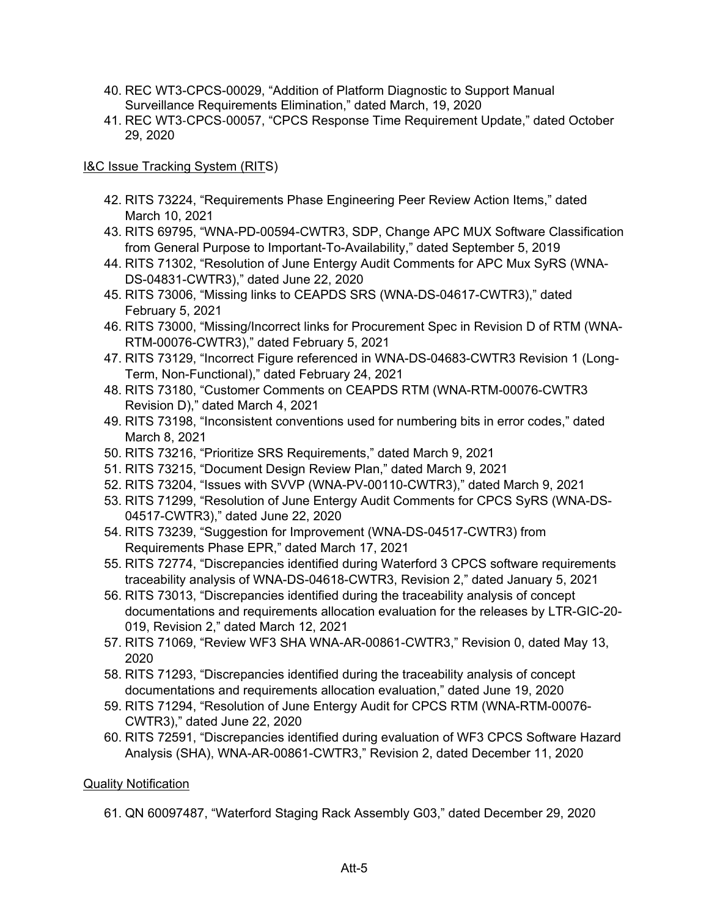- 40. REC WT3-CPCS-00029, "Addition of Platform Diagnostic to Support Manual Surveillance Requirements Elimination," dated March, 19, 2020
- 41. REC WT3‐CPCS‐00057, "CPCS Response Time Requirement Update," dated October 29, 2020

# I&C Issue Tracking System (RITS)

- 42. RITS 73224, "Requirements Phase Engineering Peer Review Action Items," dated March 10, 2021
- 43. RITS 69795, "WNA-PD-00594-CWTR3, SDP, Change APC MUX Software Classification from General Purpose to Important-To-Availability," dated September 5, 2019
- 44. RITS 71302, "Resolution of June Entergy Audit Comments for APC Mux SyRS (WNA-DS-04831-CWTR3)," dated June 22, 2020
- 45. RITS 73006, "Missing links to CEAPDS SRS (WNA-DS-04617-CWTR3)," dated February 5, 2021
- 46. RITS 73000, "Missing/Incorrect links for Procurement Spec in Revision D of RTM (WNA-RTM-00076-CWTR3)," dated February 5, 2021
- 47. RITS 73129, "Incorrect Figure referenced in WNA-DS-04683-CWTR3 Revision 1 (Long-Term, Non-Functional)," dated February 24, 2021
- 48. RITS 73180, "Customer Comments on CEAPDS RTM (WNA-RTM-00076-CWTR3 Revision D)," dated March 4, 2021
- 49. RITS 73198, "Inconsistent conventions used for numbering bits in error codes," dated March 8, 2021
- 50. RITS 73216, "Prioritize SRS Requirements," dated March 9, 2021
- 51. RITS 73215, "Document Design Review Plan," dated March 9, 2021
- 52. RITS 73204, "Issues with SVVP (WNA-PV-00110-CWTR3)," dated March 9, 2021
- 53. RITS 71299, "Resolution of June Entergy Audit Comments for CPCS SyRS (WNA-DS-04517-CWTR3)," dated June 22, 2020
- 54. RITS 73239, "Suggestion for Improvement (WNA-DS-04517-CWTR3) from Requirements Phase EPR," dated March 17, 2021
- 55. RITS 72774, "Discrepancies identified during Waterford 3 CPCS software requirements traceability analysis of WNA-DS-04618-CWTR3, Revision 2," dated January 5, 2021
- 56. RITS 73013, "Discrepancies identified during the traceability analysis of concept documentations and requirements allocation evaluation for the releases by LTR-GIC-20- 019, Revision 2," dated March 12, 2021
- 57. RITS 71069, "Review WF3 SHA WNA-AR-00861-CWTR3," Revision 0, dated May 13, 2020
- 58. RITS 71293, "Discrepancies identified during the traceability analysis of concept documentations and requirements allocation evaluation," dated June 19, 2020
- 59. RITS 71294, "Resolution of June Entergy Audit for CPCS RTM (WNA-RTM-00076- CWTR3)," dated June 22, 2020
- 60. RITS 72591, "Discrepancies identified during evaluation of WF3 CPCS Software Hazard Analysis (SHA), WNA-AR-00861-CWTR3," Revision 2, dated December 11, 2020

# Quality Notification

61. QN 60097487, "Waterford Staging Rack Assembly G03," dated December 29, 2020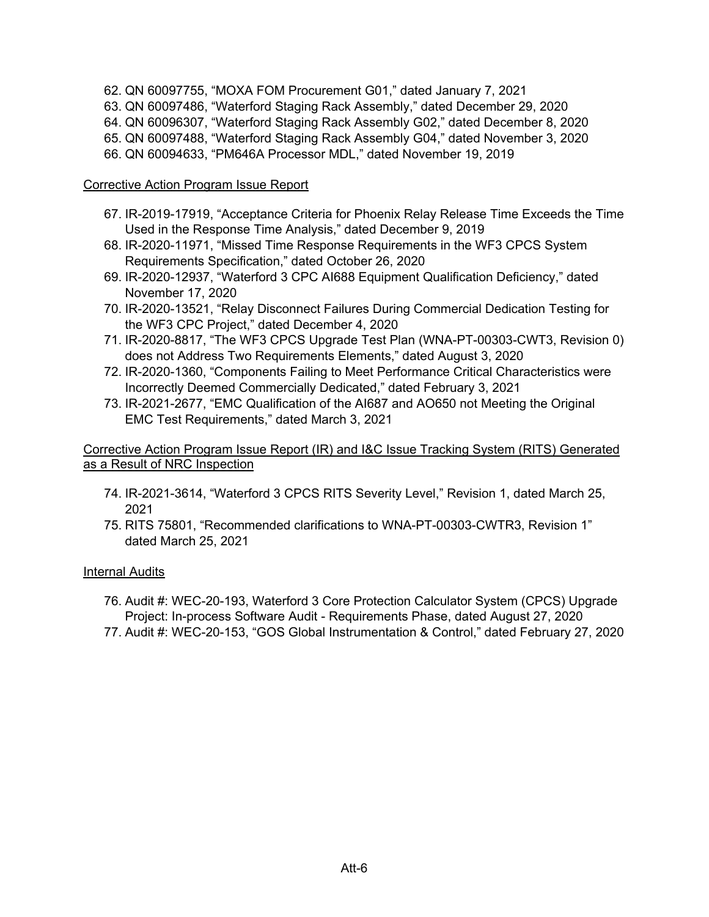- 62. QN 60097755, "MOXA FOM Procurement G01," dated January 7, 2021
- 63. QN 60097486, "Waterford Staging Rack Assembly," dated December 29, 2020
- 64. QN 60096307, "Waterford Staging Rack Assembly G02," dated December 8, 2020
- 65. QN 60097488, "Waterford Staging Rack Assembly G04," dated November 3, 2020
- 66. QN 60094633, "PM646A Processor MDL," dated November 19, 2019

# Corrective Action Program Issue Report

- 67. IR-2019-17919, "Acceptance Criteria for Phoenix Relay Release Time Exceeds the Time Used in the Response Time Analysis," dated December 9, 2019
- 68. IR-2020-11971, "Missed Time Response Requirements in the WF3 CPCS System Requirements Specification," dated October 26, 2020
- 69. IR-2020-12937, "Waterford 3 CPC AI688 Equipment Qualification Deficiency," dated November 17, 2020
- 70. IR-2020-13521, "Relay Disconnect Failures During Commercial Dedication Testing for the WF3 CPC Project," dated December 4, 2020
- 71. IR-2020-8817, "The WF3 CPCS Upgrade Test Plan (WNA-PT-00303-CWT3, Revision 0) does not Address Two Requirements Elements," dated August 3, 2020
- 72. IR-2020-1360, "Components Failing to Meet Performance Critical Characteristics were Incorrectly Deemed Commercially Dedicated," dated February 3, 2021
- 73. IR-2021-2677, "EMC Qualification of the AI687 and AO650 not Meeting the Original EMC Test Requirements," dated March 3, 2021

# Corrective Action Program Issue Report (IR) and I&C Issue Tracking System (RITS) Generated as a Result of NRC Inspection

- 74. IR-2021-3614, "Waterford 3 CPCS RITS Severity Level," Revision 1, dated March 25, 2021
- 75. RITS 75801, "Recommended clarifications to WNA-PT-00303-CWTR3, Revision 1" dated March 25, 2021

# Internal Audits

- 76. Audit #: WEC-20-193, Waterford 3 Core Protection Calculator System (CPCS) Upgrade Project: In-process Software Audit - Requirements Phase, dated August 27, 2020
- 77. Audit #: WEC-20-153, "GOS Global Instrumentation & Control," dated February 27, 2020